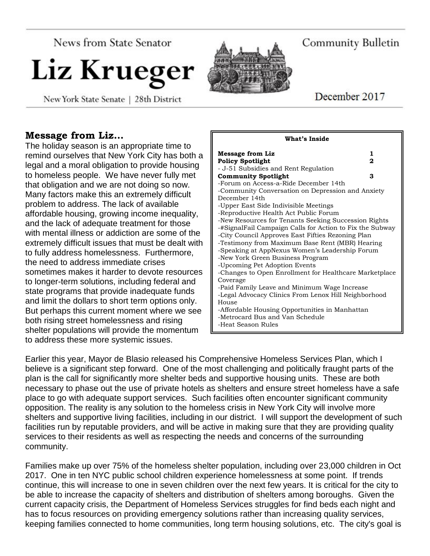News from State Senator

# Liz Krueger

New York State Senate | 28th District



Community Bulletin

December 2017

## **Message from Liz…**

The holiday season is an appropriate time to remind ourselves that New York City has both a legal and a moral obligation to provide housing to homeless people. We have never fully met that obligation and we are not doing so now. Many factors make this an extremely difficult problem to address. The lack of available affordable housing, growing income inequality, and the lack of adequate treatment for those with mental illness or addiction are some of the extremely difficult issues that must be dealt with to fully address homelessness. Furthermore, the need to address immediate crises sometimes makes it harder to devote resources to longer-term solutions, including federal and state programs that provide inadequate funds and limit the dollars to short term options only. But perhaps this current moment where we see both rising street homelessness and rising shelter populations will provide the momentum to address these more systemic issues.

| What's Inside                                            |  |
|----------------------------------------------------------|--|
| <b>Message from Liz</b><br>1                             |  |
| <b>Policy Spotlight</b><br>2                             |  |
| - J-51 Subsidies and Rent Regulation                     |  |
| <b>Community Spotlight</b><br>з                          |  |
| -Forum on Access-a-Ride December 14th                    |  |
| -Community Conversation on Depression and Anxiety        |  |
| December 14th                                            |  |
| -Upper East Side Indivisible Meetings                    |  |
| -Reproductive Health Act Public Forum                    |  |
| -New Resources for Tenants Seeking Succession Rights     |  |
| -#SignalFail Campaign Calls for Action to Fix the Subway |  |
| -City Council Approves East Fifties Rezoning Plan        |  |
| -Testimony from Maximum Base Rent (MBR) Hearing          |  |
| -Speaking at AppNexus Women's Leadership Forum           |  |
| -New York Green Business Program                         |  |
| -Upcoming Pet Adoption Events                            |  |
| -Changes to Open Enrollment for Healthcare Marketplace   |  |
| Coverage                                                 |  |
| -Paid Family Leave and Minimum Wage Increase             |  |
| -Legal Advocacy Clinics From Lenox Hill Neighborhood     |  |
| House                                                    |  |
| -Affordable Housing Opportunities in Manhattan           |  |
| -Metrocard Bus and Van Schedule                          |  |
| -Heat Season Rules                                       |  |

Earlier this year, Mayor de Blasio released his Comprehensive Homeless Services Plan, which I believe is a significant step forward. One of the most challenging and politically fraught parts of the plan is the call for significantly more shelter beds and supportive housing units. These are both necessary to phase out the use of private hotels as shelters and ensure street homeless have a safe place to go with adequate support services. Such facilities often encounter significant community opposition. The reality is any solution to the homeless crisis in New York City will involve more shelters and supportive living facilities, including in our district. I will support the development of such facilities run by reputable providers, and will be active in making sure that they are providing quality services to their residents as well as respecting the needs and concerns of the surrounding community.

Families make up over 75% of the homeless shelter population, including over 23,000 children in Oct 2017. One in ten NYC public school children experience homelessness at some point. If trends continue, this will increase to one in seven children over the next few years. It is critical for the city to be able to increase the capacity of shelters and distribution of shelters among boroughs. Given the current capacity crisis, the Department of Homeless Services struggles for find beds each night and has to focus resources on providing emergency solutions rather than increasing quality services, keeping families connected to home communities, long term housing solutions, etc. The city's goal is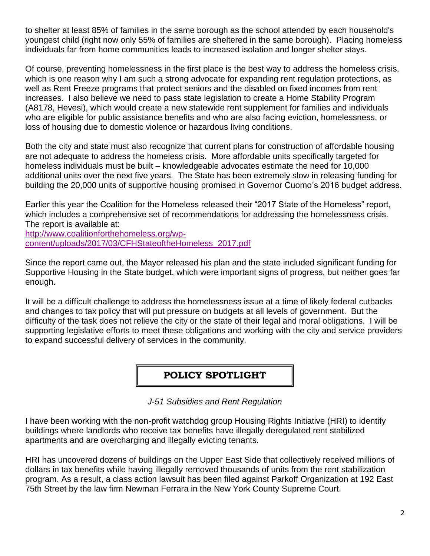to shelter at least 85% of families in the same borough as the school attended by each household's youngest child (right now only 55% of families are sheltered in the same borough). Placing homeless individuals far from home communities leads to increased isolation and longer shelter stays.

Of course, preventing homelessness in the first place is the best way to address the homeless crisis, which is one reason why I am such a strong advocate for expanding rent regulation protections, as well as Rent Freeze programs that protect seniors and the disabled on fixed incomes from rent increases. I also believe we need to pass state legislation to create a Home Stability Program (A8178, Hevesi), which would create a new statewide rent supplement for families and individuals who are eligible for public assistance benefits and who are also facing eviction, homelessness, or loss of housing due to domestic violence or hazardous living conditions.

Both the city and state must also recognize that current plans for construction of affordable housing are not adequate to address the homeless crisis. More affordable units specifically targeted for homeless individuals must be built – knowledgeable advocates estimate the need for 10,000 additional units over the next five years. The State has been extremely slow in releasing funding for building the 20,000 units of supportive housing promised in Governor Cuomo's 2016 budget address.

Earlier this year the Coalition for the Homeless released their "2017 State of the Homeless" report, which includes a comprehensive set of recommendations for addressing the homelessness crisis. The report is available at:

[http://www.coalitionforthehomeless.org/wp](http://www.coalitionforthehomeless.org/wp-content/uploads/2017/03/CFHStateoftheHomeless_2017.pdf)[content/uploads/2017/03/CFHStateoftheHomeless\\_2017.pdf](http://www.coalitionforthehomeless.org/wp-content/uploads/2017/03/CFHStateoftheHomeless_2017.pdf)

Since the report came out, the Mayor released his plan and the state included significant funding for Supportive Housing in the State budget, which were important signs of progress, but neither goes far enough.

It will be a difficult challenge to address the homelessness issue at a time of likely federal cutbacks and changes to tax policy that will put pressure on budgets at all levels of government. But the difficulty of the task does not relieve the city or the state of their legal and moral obligations. I will be supporting legislative efforts to meet these obligations and working with the city and service providers to expand successful delivery of services in the community.

## **POLICY SPOTLIGHT**

*J-51 Subsidies and Rent Regulation*

I have been working with the non-profit watchdog group Housing Rights Initiative (HRI) to identify buildings where landlords who receive tax benefits have illegally deregulated rent stabilized apartments and are overcharging and illegally evicting tenants.

HRI has uncovered dozens of buildings on the Upper East Side that collectively received millions of dollars in tax benefits while having illegally removed thousands of units from the rent stabilization program. As a result, a class action lawsuit has been filed against Parkoff Organization at 192 East 75th Street by the law firm Newman Ferrara in the New York County Supreme Court.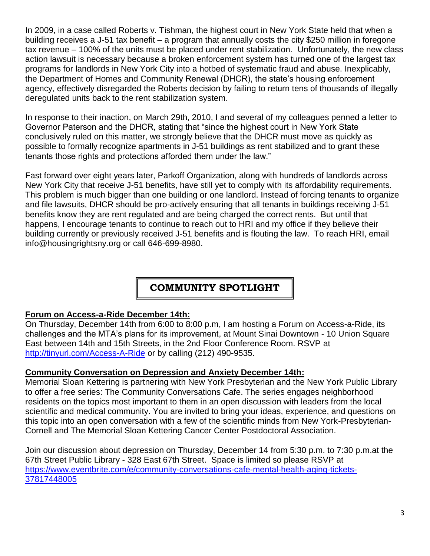In 2009, in a case called Roberts v. Tishman, the highest court in New York State held that when a building receives a J-51 tax benefit – a program that annually costs the city \$250 million in foregone tax revenue – 100% of the units must be placed under rent stabilization. Unfortunately, the new class action lawsuit is necessary because a broken enforcement system has turned one of the largest tax programs for landlords in New York City into a hotbed of systematic fraud and abuse. Inexplicably, the Department of Homes and Community Renewal (DHCR), the state's housing enforcement agency, effectively disregarded the Roberts decision by failing to return tens of thousands of illegally deregulated units back to the rent stabilization system.

In response to their inaction, on March 29th, 2010, I and several of my colleagues penned a letter to Governor Paterson and the DHCR, stating that "since the highest court in New York State conclusively ruled on this matter, we strongly believe that the DHCR must move as quickly as possible to formally recognize apartments in J-51 buildings as rent stabilized and to grant these tenants those rights and protections afforded them under the law."

Fast forward over eight years later, Parkoff Organization, along with hundreds of landlords across New York City that receive J-51 benefits, have still yet to comply with its affordability requirements. This problem is much bigger than one building or one landlord. Instead of forcing tenants to organize and file lawsuits, DHCR should be pro-actively ensuring that all tenants in buildings receiving J-51 benefits know they are rent regulated and are being charged the correct rents. But until that happens, I encourage tenants to continue to reach out to HRI and my office if they believe their building currently or previously received J-51 benefits and is flouting the law. To reach HRI, email info@housingrightsny.org or call 646-699-8980.

# **COMMUNITY SPOTLIGHT**

## **Forum on Access-a-Ride December 14th:**

On Thursday, December 14th from 6:00 to 8:00 p.m, I am hosting a Forum on Access-a-Ride, its challenges and the MTA's plans for its improvement, at Mount Sinai Downtown - 10 Union Square East between 14th and 15th Streets, in the 2nd Floor Conference Room. RSVP at <http://tinyurl.com/Access-A-Ride> or by calling (212) 490-9535.

## **Community Conversation on Depression and Anxiety December 14th:**

Memorial Sloan Kettering is partnering with New York Presbyterian and the New York Public Library to offer a free series: The Community Conversations Cafe. The series engages neighborhood residents on the topics most important to them in an open discussion with leaders from the local scientific and medical community. You are invited to bring your ideas, experience, and questions on this topic into an open conversation with a few of the scientific minds from New York-Presbyterian-Cornell and The Memorial Sloan Kettering Cancer Center Postdoctoral Association.

Join our discussion about depression on Thursday, December 14 from 5:30 p.m. to 7:30 p.m.at the 67th Street Public Library - 328 East 67th Street. Space is limited so please RSVP at [https://www.eventbrite.com/e/community-conversations-cafe-mental-health-aging-tickets-](https://www.eventbrite.com/e/community-conversations-cafe-mental-health-aging-tickets-37817448005)[37817448005](https://www.eventbrite.com/e/community-conversations-cafe-mental-health-aging-tickets-37817448005)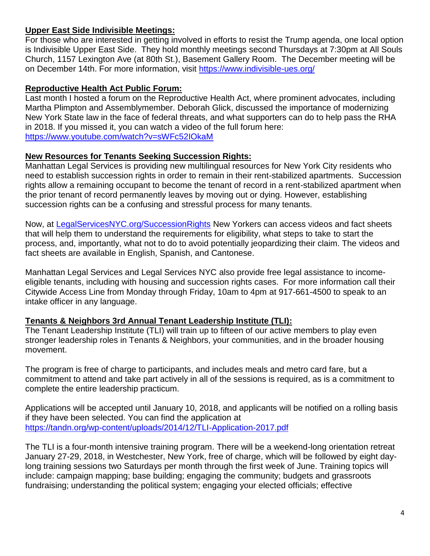### **Upper East Side Indivisible Meetings:**

For those who are interested in getting involved in efforts to resist the Trump agenda, one local option is Indivisible Upper East Side. They hold monthly meetings second Thursdays at 7:30pm at All Souls Church, 1157 Lexington Ave (at 80th St.), Basement Gallery Room. The December meeting will be on December 14th. For more information, visit<https://www.indivisible-ues.org/>

### **Reproductive Health Act Public Forum:**

Last month I hosted a forum on the Reproductive Health Act, where prominent advocates, including Martha Plimpton and Assemblymember. Deborah Glick, discussed the importance of modernizing New York State law in the face of federal threats, and what supporters can do to help pass the RHA in 2018. If you missed it, you can watch a video of the full forum here: <https://www.youtube.com/watch?v=sWFc52IOkaM>

#### **New Resources for Tenants Seeking Succession Rights:**

Manhattan Legal Services is providing new multilingual resources for New York City residents who need to establish succession rights in order to remain in their rent-stabilized apartments. Succession rights allow a remaining occupant to become the tenant of record in a rent-stabilized apartment when the prior tenant of record permanently leaves by moving out or dying. However, establishing succession rights can be a confusing and stressful process for many tenants.

Now, at [LegalServicesNYC.org/SuccessionRights](http://www.legalservicesnyc.org/what-we-do/practice-areas-and-projects/housing/housing-succession-rights-in-new-york) New Yorkers can access videos and fact sheets that will help them to understand the requirements for eligibility, what steps to take to start the process, and, importantly, what not to do to avoid potentially jeopardizing their claim. The videos and fact sheets are available in English, Spanish, and Cantonese.

Manhattan Legal Services and Legal Services NYC also provide free legal assistance to incomeeligible tenants, including with housing and succession rights cases. For more information call their Citywide Access Line from Monday through Friday, 10am to 4pm at 917-661-4500 to speak to an intake officer in any language.

## **Tenants & Neighbors 3rd Annual Tenant Leadership Institute (TLI):**

The Tenant Leadership Institute (TLI) will train up to fifteen of our active members to play even stronger leadership roles in Tenants & Neighbors, your communities, and in the broader housing movement.

The program is free of charge to participants, and includes meals and metro card fare, but a commitment to attend and take part actively in all of the sessions is required, as is a commitment to complete the entire leadership practicum.

Applications will be accepted until January 10, 2018, and applicants will be notified on a rolling basis if they have been selected. You can find the application at <https://tandn.org/wp-content/uploads/2014/12/TLI-Application-2017.pdf>

The TLI is a four-month intensive training program. There will be a weekend-long orientation retreat January 27-29, 2018, in Westchester, New York, free of charge, which will be followed by eight daylong training sessions two Saturdays per month through the first week of June. Training topics will include: campaign mapping; base building; engaging the community; budgets and grassroots fundraising; understanding the political system; engaging your elected officials; effective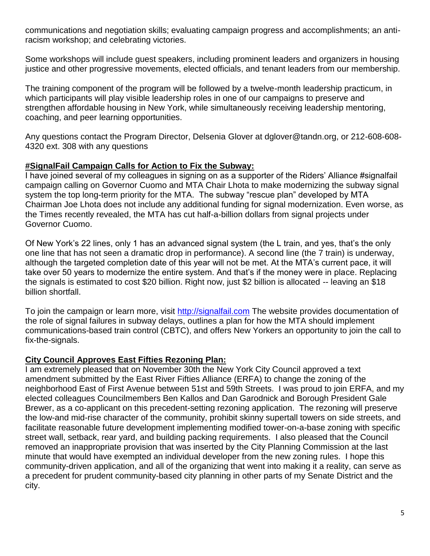communications and negotiation skills; evaluating campaign progress and accomplishments; an antiracism workshop; and celebrating victories.

Some workshops will include guest speakers, including prominent leaders and organizers in housing justice and other progressive movements, elected officials, and tenant leaders from our membership.

The training component of the program will be followed by a twelve-month leadership practicum, in which participants will play visible leadership roles in one of our campaigns to preserve and strengthen affordable housing in New York, while simultaneously receiving leadership mentoring, coaching, and peer learning opportunities.

Any questions contact the Program Director, Delsenia Glover at dglover@tandn.org, or 212-608-608- 4320 ext. 308 with any questions

## **#SignalFail Campaign Calls for Action to Fix the Subway:**

I have joined several of my colleagues in signing on as a supporter of the Riders' Alliance #signalfail campaign calling on Governor Cuomo and MTA Chair Lhota to make modernizing the subway signal system the top long-term priority for the MTA. The subway "rescue plan" developed by MTA Chairman Joe Lhota does not include any additional funding for signal modernization. Even worse, as the Times recently revealed, the MTA has cut half-a-billion dollars from signal projects under Governor Cuomo.

Of New York's 22 lines, only 1 has an advanced signal system (the L train, and yes, that's the only one line that has not seen a dramatic drop in performance). A second line (the 7 train) is underway, although the targeted completion date of this year will not be met. At the MTA's current pace, it will take over 50 years to modernize the entire system. And that's if the money were in place. Replacing the signals is estimated to cost \$20 billion. Right now, just \$2 billion is allocated -- leaving an \$18 billion shortfall.

To join the campaign or learn more, visit [http://signalfail.com](http://signalfail.com/) The website provides documentation of the role of signal failures in subway delays, outlines a plan for how the MTA should implement communications-based train control (CBTC), and offers New Yorkers an opportunity to join the call to fix-the-signals.

## **City Council Approves East Fifties Rezoning Plan:**

I am extremely pleased that on November 30th the New York City Council approved a text amendment submitted by the East River Fifties Alliance (ERFA) to change the zoning of the neighborhood East of First Avenue between 51st and 59th Streets. I was proud to join ERFA, and my elected colleagues Councilmembers Ben Kallos and Dan Garodnick and Borough President Gale Brewer, as a co-applicant on this precedent-setting rezoning application. The rezoning will preserve the low-and mid-rise character of the community, prohibit skinny supertall towers on side streets, and facilitate reasonable future development implementing modified tower-on-a-base zoning with specific street wall, setback, rear yard, and building packing requirements. I also pleased that the Council removed an inappropriate provision that was inserted by the City Planning Commission at the last minute that would have exempted an individual developer from the new zoning rules. I hope this community-driven application, and all of the organizing that went into making it a reality, can serve as a precedent for prudent community-based city planning in other parts of my Senate District and the city.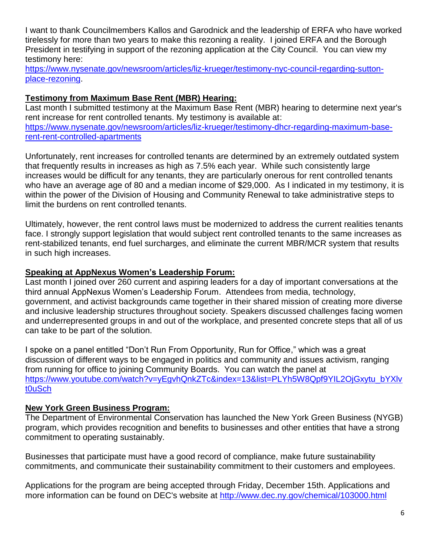I want to thank Councilmembers Kallos and Garodnick and the leadership of ERFA who have worked tirelessly for more than two years to make this rezoning a reality. I joined ERFA and the Borough President in testifying in support of the rezoning application at the City Council. You can view my testimony here:

[https://www.nysenate.gov/newsroom/articles/liz-krueger/testimony-nyc-council-regarding-sutton](https://www.nysenate.gov/newsroom/articles/liz-krueger/testimony-nyc-council-regarding-sutton-place-rezoning)[place-rezoning.](https://www.nysenate.gov/newsroom/articles/liz-krueger/testimony-nyc-council-regarding-sutton-place-rezoning)

## **Testimony from Maximum Base Rent (MBR) Hearing:**

Last month I submitted testimony at the Maximum Base Rent (MBR) hearing to determine next year's rent increase for rent controlled tenants. My testimony is available at: [https://www.nysenate.gov/newsroom/articles/liz-krueger/testimony-dhcr-regarding-maximum-base](https://www.nysenate.gov/newsroom/articles/liz-krueger/testimony-dhcr-regarding-maximum-base-rent-rent-controlled-apartments)[rent-rent-controlled-apartments](https://www.nysenate.gov/newsroom/articles/liz-krueger/testimony-dhcr-regarding-maximum-base-rent-rent-controlled-apartments)

Unfortunately, rent increases for controlled tenants are determined by an extremely outdated system that frequently results in increases as high as 7.5% each year. While such consistently large increases would be difficult for any tenants, they are particularly onerous for rent controlled tenants who have an average age of 80 and a median income of \$29,000. As I indicated in my testimony, it is within the power of the Division of Housing and Community Renewal to take administrative steps to limit the burdens on rent controlled tenants.

Ultimately, however, the rent control laws must be modernized to address the current realities tenants face. I strongly support legislation that would subject rent controlled tenants to the same increases as rent-stabilized tenants, end fuel surcharges, and eliminate the current MBR/MCR system that results in such high increases.

## **Speaking at AppNexus Women's Leadership Forum:**

Last month I joined over 260 current and aspiring leaders for a day of important conversations at the third annual AppNexus Women's Leadership Forum. Attendees from media, technology, government, and activist backgrounds came together in their shared mission of creating more diverse and inclusive leadership structures throughout society. Speakers discussed challenges facing women and underrepresented groups in and out of the workplace, and presented concrete steps that all of us can take to be part of the solution.

I spoke on a panel entitled "Don't Run From Opportunity, Run for Office," which was a great discussion of different ways to be engaged in politics and community and issues activism, ranging from running for office to joining Community Boards. You can watch the panel at [https://www.youtube.com/watch?v=yEgvhQnkZTc&index=13&list=PLYh5W8Qpf9YIL2OjGxytu\\_bYXlv](https://www.youtube.com/watch?v=yEgvhQnkZTc&index=13&list=PLYh5W8Qpf9YIL2OjGxytu_bYXlvt0uSch) [t0uSch](https://www.youtube.com/watch?v=yEgvhQnkZTc&index=13&list=PLYh5W8Qpf9YIL2OjGxytu_bYXlvt0uSch)

# **New York Green Business Program:**

The Department of Environmental Conservation has launched the New York Green Business (NYGB) program, which provides recognition and benefits to businesses and other entities that have a strong commitment to operating sustainably.

Businesses that participate must have a good record of compliance, make future sustainability commitments, and communicate their sustainability commitment to their customers and employees.

Applications for the program are being accepted through Friday, December 15th. Applications and more information can be found on DEC's website at<http://www.dec.ny.gov/chemical/103000.html>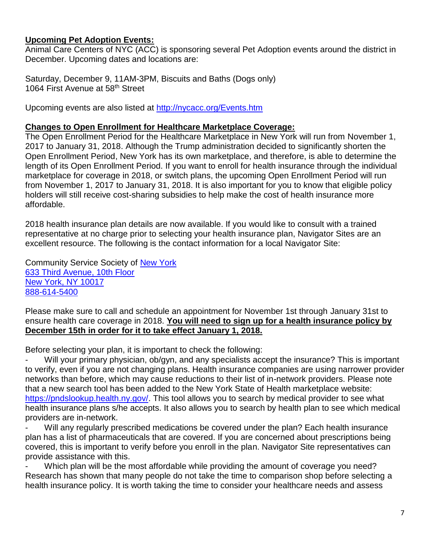### **Upcoming Pet Adoption Events:**

Animal Care Centers of NYC (ACC) is sponsoring several Pet Adoption events around the district in December. Upcoming dates and locations are:

Saturday, December 9, 11AM-3PM, Biscuits and Baths (Dogs only) 1064 First Avenue at 58<sup>th</sup> Street

Upcoming events are also listed at<http://nycacc.org/Events.htm>

#### **Changes to Open Enrollment for Healthcare Marketplace Coverage:**

The Open Enrollment Period for the Healthcare Marketplace in New York will run from November 1, 2017 to January 31, 2018. Although the Trump administration decided to significantly shorten the Open Enrollment Period, New York has its own marketplace, and therefore, is able to determine the length of its Open Enrollment Period. If you want to enroll for health insurance through the individual marketplace for coverage in 2018, or switch plans, the upcoming Open Enrollment Period will run from November 1, 2017 to January 31, 2018. It is also important for you to know that eligible policy holders will still receive cost-sharing subsidies to help make the cost of health insurance more affordable.

2018 health insurance plan details are now available. If you would like to consult with a trained representative at no charge prior to selecting your health insurance plan, Navigator Sites are an excellent resource. The following is the contact information for a local Navigator Site:

Community Service Society of [New York](https://maps.google.com/?q=New+York%0D%0D+633+Third+Avenue,+10th+Floor%0D%0D+New+York,+NY+10017&entry=gmail&source=g) [633 Third Avenue, 10th Floor](https://maps.google.com/?q=New+York%0D%0D+633+Third+Avenue,+10th+Floor%0D%0D+New+York,+NY+10017&entry=gmail&source=g) [New York, NY 10017](https://maps.google.com/?q=New+York%0D%0D+633+Third+Avenue,+10th+Floor%0D%0D+New+York,+NY+10017&entry=gmail&source=g) [888-614-5400](tel:(888)%20614-5400)

Please make sure to call and schedule an appointment for November 1st through January 31st to ensure health care coverage in 2018. **You will need to sign up for a health insurance policy by December 15th in order for it to take effect January 1, 2018.**

Before selecting your plan, it is important to check the following:

Will your primary physician, ob/gyn, and any specialists accept the insurance? This is important to verify, even if you are not changing plans. Health insurance companies are using narrower provider networks than before, which may cause reductions to their list of in-network providers. Please note that a new search tool has been added to the New York State of Health marketplace website: [https://pndslookup.health.ny.gov/.](https://pndslookup.health.ny.gov/) This tool allows you to search by medical provider to see what health insurance plans s/he accepts. It also allows you to search by health plan to see which medical providers are in-network.

Will any regularly prescribed medications be covered under the plan? Each health insurance plan has a list of pharmaceuticals that are covered. If you are concerned about prescriptions being covered, this is important to verify before you enroll in the plan. Navigator Site representatives can provide assistance with this.

Which plan will be the most affordable while providing the amount of coverage you need? Research has shown that many people do not take the time to comparison shop before selecting a health insurance policy. It is worth taking the time to consider your healthcare needs and assess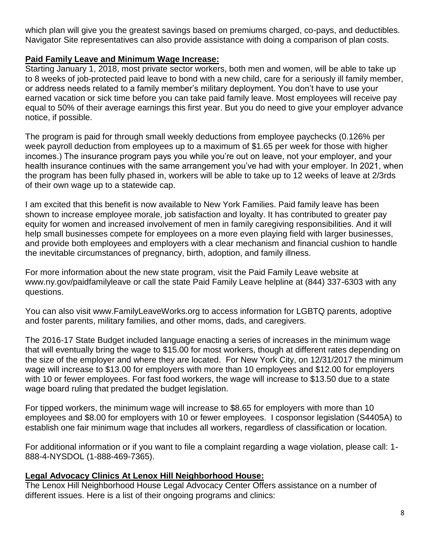which plan will give you the greatest savings based on premiums charged, co-pays, and deductibles. Navigator Site representatives can also provide assistance with doing a comparison of plan costs.

## **Paid Family Leave and Minimum Wage Increase:**

Starting January 1, 2018, most private sector workers, both men and women, will be able to take up to 8 weeks of job-protected paid leave to bond with a new child, care for a seriously ill family member, or address needs related to a family member's military deployment. You don't have to use your earned vacation or sick time before you can take paid family leave. Most employees will receive pay equal to 50% of their average earnings this first year. But you do need to give your employer advance notice, if possible.

The program is paid for through small weekly deductions from employee paychecks (0.126% per week payroll deduction from employees up to a maximum of \$1.65 per week for those with higher incomes.) The insurance program pays you while you're out on leave, not your employer, and your health insurance continues with the same arrangement you've had with your employer. In 2021, when the program has been fully phased in, workers will be able to take up to 12 weeks of leave at 2/3rds of their own wage up to a statewide cap.

I am excited that this benefit is now available to New York Families. Paid family leave has been shown to increase employee morale, job satisfaction and loyalty. It has contributed to greater pay equity for women and increased involvement of men in family caregiving responsibilities. And it will help small businesses compete for employees on a more even playing field with larger businesses, and provide both employees and employers with a clear mechanism and financial cushion to handle the inevitable circumstances of pregnancy, birth, adoption, and family illness.

For more information about the new state program, visit the Paid Family Leave website at www.ny.gov/paidfamilyleave or call the state Paid Family Leave helpline at (844) 337-6303 with any questions.

You can also visit www.FamilyLeaveWorks.org to access information for LGBTQ parents, adoptive and foster parents, military families, and other moms, dads, and caregivers.

The 2016-17 State Budget included language enacting a series of increases in the minimum wage that will eventually bring the wage to \$15.00 for most workers, though at different rates depending on the size of the employer and where they are located. For New York City, on 12/31/2017 the minimum wage will increase to \$13.00 for employers with more than 10 employees and \$12.00 for employers with 10 or fewer employees. For fast food workers, the wage will increase to \$13.50 due to a state wage board ruling that predated the budget legislation.

For tipped workers, the minimum wage will increase to \$8.65 for employers with more than 10 employees and \$8.00 for employers with 10 or fewer employees. I cosponsor legislation (S4405A) to establish one fair minimum wage that includes all workers, regardless of classification or location.

For additional information or if you want to file a complaint regarding a wage violation, please call: 1- 888-4-NYSDOL (1-888-469-7365).

## **Legal Advocacy Clinics At Lenox Hill Neighborhood House:**

The Lenox Hill Neighborhood House Legal Advocacy Center Offers assistance on a number of different issues. Here is a list of their ongoing programs and clinics: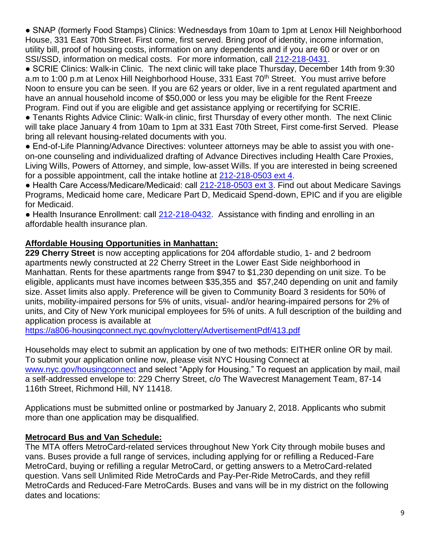● SNAP (formerly Food Stamps) Clinics: Wednesdays from 10am to 1pm at Lenox Hill Neighborhood House, 331 East 70th Street. First come, first served. Bring proof of identity, income information, utility bill, proof of housing costs, information on any dependents and if you are 60 or over or on SSI/SSD, information on medical costs. For more information, call [212-218-0431.](tel:212-218-0431)

● SCRIE Clinics: Walk-in Clinic. The next clinic will take place Thursday, December 14th from 9:30 a.m to 1:00 p.m at Lenox Hill Neighborhood House, 331 East 70<sup>th</sup> Street. You must arrive before Noon to ensure you can be seen. If you are 62 years or older, live in a rent regulated apartment and have an annual household income of \$50,000 or less you may be eligible for the Rent Freeze Program. Find out if you are eligible and get assistance applying or recertifying for SCRIE.

● Tenants Rights Advice Clinic: Walk-in clinic, first Thursday of every other month. The next Clinic will take place January 4 from 10am to 1pm at 331 East 70th Street, First come-first Served. Please bring all relevant housing-related documents with you.

● End-of-Life Planning/Advance Directives: volunteer attorneys may be able to assist you with oneon-one counseling and individualized drafting of Advance Directives including Health Care Proxies, Living Wills, Powers of Attorney, and simple, low-asset Wills. If you are interested in being screened for a possible appointment, call the intake hotline at [212-218-0503 ext 4.](tel:212-218-0503%20ext%204)

● Health Care Access/Medicare/Medicaid: call [212-218-0503 ext 3.](tel:212-218-0503%20ext%203) Find out about Medicare Savings Programs, Medicaid home care, Medicare Part D, Medicaid Spend-down, EPIC and if you are eligible for Medicaid.

• Health Insurance Enrollment: call [212-218-0432.](tel:212-218-0432) Assistance with finding and enrolling in an affordable health insurance plan.

## **Affordable Housing Opportunities in Manhattan:**

**229 Cherry Street** is now accepting applications for 204 affordable studio, 1- and 2 bedroom apartments newly constructed at 22 Cherry Street in the Lower East Side neighborhood in Manhattan. Rents for these apartments range from \$947 to \$1,230 depending on unit size. To be eligible, applicants must have incomes between \$35,355 and \$57,240 depending on unit and family size. Asset limits also apply. Preference will be given to Community Board 3 residents for 50% of units, mobility-impaired persons for 5% of units, visual- and/or hearing-impaired persons for 2% of units, and City of New York municipal employees for 5% of units. A full description of the building and application process is available at

<https://a806-housingconnect.nyc.gov/nyclottery/AdvertisementPdf/413.pdf>

Households may elect to submit an application by one of two methods: EITHER online OR by mail. To submit your application online now, please visit NYC Housing Connect at [www.nyc.gov/housingconnect](http://www.nyc.gov/housingconnect) and select "Apply for Housing." To request an application by mail, mail a self-addressed envelope to: 229 Cherry Street, c/o The Wavecrest Management Team, 87-14 116th Street, Richmond Hill, NY 11418.

Applications must be submitted online or postmarked by January 2, 2018. Applicants who submit more than one application may be disqualified.

## **Metrocard Bus and Van Schedule:**

The MTA offers MetroCard-related services throughout New York City through mobile buses and vans. Buses provide a full range of services, including applying for or refilling a Reduced-Fare MetroCard, buying or refilling a regular MetroCard, or getting answers to a MetroCard-related question. Vans sell Unlimited Ride MetroCards and Pay-Per-Ride MetroCards, and they refill MetroCards and Reduced-Fare MetroCards. Buses and vans will be in my district on the following dates and locations: